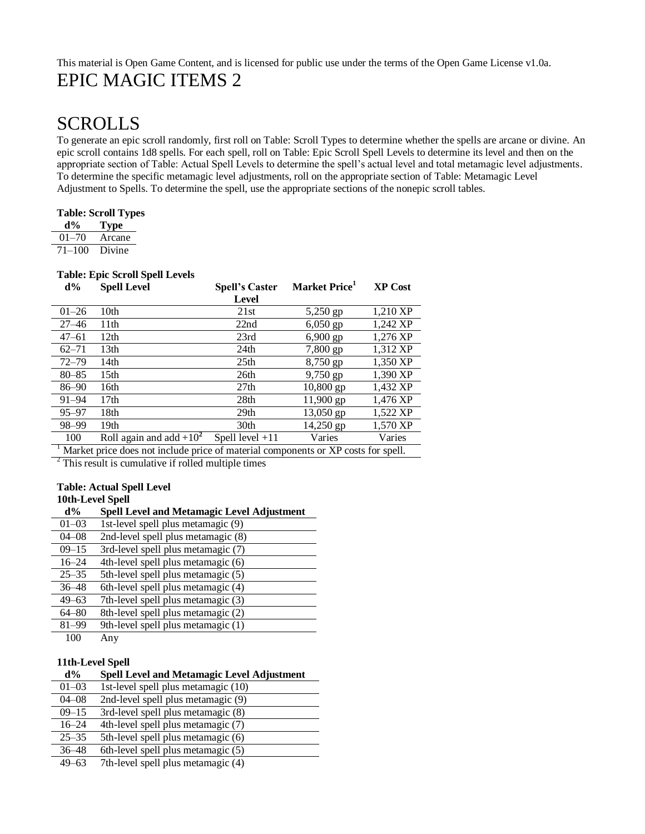# This material is Open Game Content, and is licensed for public use under the terms of the Open Game License v1.0a. EPIC MAGIC ITEMS 2

# SCROLLS

To generate an epic scroll randomly, first roll on Table: Scroll Types to determine whether the spells are arcane or divine. An epic scroll contains 1d8 spells. For each spell, roll on Table: Epic Scroll Spell Levels to determine its level and then on the appropriate section of Table: Actual Spell Levels to determine the spell's actual level and total metamagic level adjustments. To determine the specific metamagic level adjustments, roll on the appropriate section of Table: Metamagic Level Adjustment to Spells. To determine the spell, use the appropriate sections of the nonepic scroll tables.

### **Table: Scroll Types**

| d%         | <b>Type</b> |
|------------|-------------|
| $01 - 70$  | Arcane      |
| $71 - 100$ | Divine      |

### **Table: Epic Scroll Spell Levels**

| $d\%$     | <b>Spell Level</b>                                                                             | <b>Spell's Caster</b> | Market Price <sup>1</sup> | <b>XP Cost</b> |
|-----------|------------------------------------------------------------------------------------------------|-----------------------|---------------------------|----------------|
|           |                                                                                                | Level                 |                           |                |
| $01 - 26$ | 10th                                                                                           | 21st                  | 5,250 gp                  | 1,210 XP       |
| $27 - 46$ | 11 <sup>th</sup>                                                                               | 22nd                  | $6,050$ gp                | 1,242 XP       |
| $47 - 61$ | 12th                                                                                           | 23rd                  | $6,900$ gp                | 1,276 XP       |
| $62 - 71$ | 13th                                                                                           | 24 <sub>th</sub>      | 7,800 gp                  | 1,312 XP       |
| $72 - 79$ | 14th                                                                                           | 25 <sub>th</sub>      | 8,750 gp                  | 1,350 XP       |
| $80 - 85$ | 15 <sub>th</sub>                                                                               | 26th                  | $9,750$ gp                | 1.390 XP       |
| $86 - 90$ | 16th                                                                                           | 27 <sub>th</sub>      | $10,800$ gp               | 1,432 XP       |
| $91 - 94$ | 17th                                                                                           | 28 <sub>th</sub>      | $11,900$ gp               | 1,476 XP       |
| $95 - 97$ | 18th                                                                                           | 29 <sub>th</sub>      | 13,050 gp                 | 1,522 XP       |
| 98-99     | 19th                                                                                           | 30th                  | 14,250 gp                 | 1,570 XP       |
| 100       | Roll again and add $+10^2$                                                                     | Spell level $+11$     | Varies                    | Varies         |
|           | $\frac{1}{2}$ Market price does not include price of material components or YP costs for spell |                       |                           |                |

Market price does not include price of material components or XP costs for spell.

 $2$  This result is cumulative if rolled multiple times

#### **Table: Actual Spell Level 10th-Level Spell**

| там-пстанам |                                                   |
|-------------|---------------------------------------------------|
| $d\%$       | <b>Spell Level and Metamagic Level Adjustment</b> |
| $01 - 03$   | 1st-level spell plus metamagic (9)                |
| $04 - 08$   | 2nd-level spell plus metamagic (8)                |
| $09 - 15$   | 3rd-level spell plus metamagic (7)                |
| $16 - 24$   | 4th-level spell plus metamagic (6)                |
| $25 - 35$   | 5th-level spell plus metamagic (5)                |
| $36 - 48$   | 6th-level spell plus metamagic (4)                |
| $49 - 63$   | 7th-level spell plus metamagic (3)                |
| $64 - 80$   | 8th-level spell plus metamagic (2)                |
| $81 - 99$   | 9th-level spell plus metamagic (1)                |
| 100         | Any                                               |

### **11th-Level Spell**

### **d% Spell Level and Metamagic Level Adjustment**

| $01 - 03$ | 1st-level spell plus metamagic (10) |
|-----------|-------------------------------------|
| $04 - 08$ | 2nd-level spell plus metamagic (9)  |
| $09 - 15$ | 3rd-level spell plus metamagic (8)  |
| $16 - 24$ | 4th-level spell plus metamagic (7)  |
| $25 - 35$ | 5th-level spell plus metamagic (6)  |
| $36 - 48$ | 6th-level spell plus metamagic (5)  |
| $49 - 63$ | 7th-level spell plus metamagic (4)  |

49–63 7th-level spell plus metamagic (4)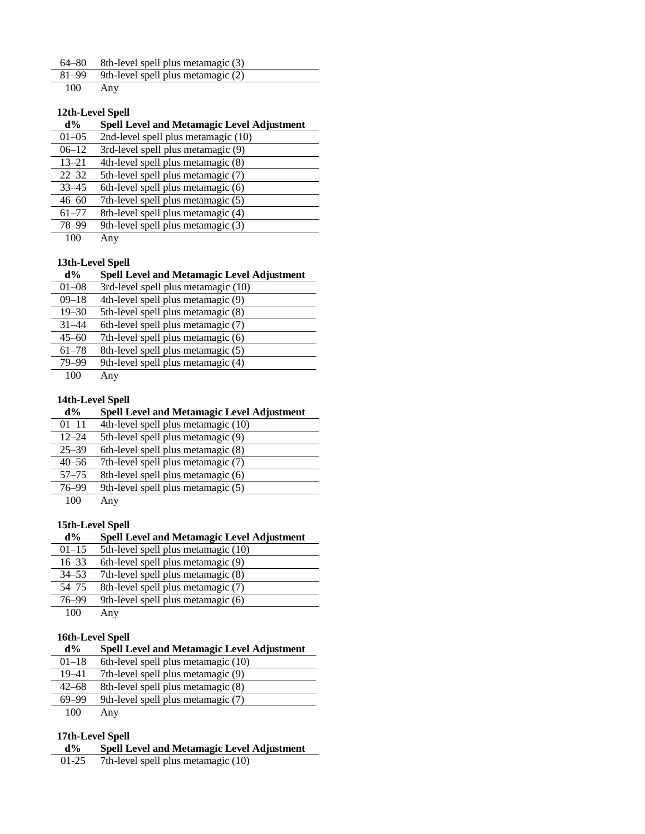| 64–80 |  |  | 8th-level spell plus metamagic (3) |  |
|-------|--|--|------------------------------------|--|
|-------|--|--|------------------------------------|--|

 $81-99$  9th-level spell plus metamagic (2)<br>100 Any

Any

### **12th-Level Spell**

| $d\%$     | <b>Spell Level and Metamagic Level Adjustment</b> |
|-----------|---------------------------------------------------|
| $01 - 05$ | 2nd-level spell plus metamagic (10)               |
| $06 - 12$ | 3rd-level spell plus metamagic (9)                |
| $13 - 21$ | 4th-level spell plus metamagic (8)                |
| $22 - 32$ | 5th-level spell plus metamagic (7)                |
| $33 - 45$ | 6th-level spell plus metamagic (6)                |
| $46 - 60$ | 7th-level spell plus metamagic (5)                |
| $61 - 77$ | 8th-level spell plus metamagic (4)                |
| 78-99     | 9th-level spell plus metamagic (3)                |
| 100       | Any                                               |

### **13th-Level Spell**

### **d% Spell Level and Metamagic Level Adjustment**

| $01 - 08$ | 3rd-level spell plus metamagic (10) |
|-----------|-------------------------------------|
| $09 - 18$ | 4th-level spell plus metamagic (9)  |
| $19 - 30$ | 5th-level spell plus metamagic (8)  |
| $31 - 44$ | 6th-level spell plus metamagic (7)  |
| $45 - 60$ | 7th-level spell plus metamagic (6)  |
| $61 - 78$ | 8th-level spell plus metamagic (5)  |
| 79-99     | 9th-level spell plus metamagic (4)  |
| 100       | Any                                 |

### **14th-Level Spell**

### **d% Spell Level and Metamagic Level Adjustment**

| $01 - 11$ | 4th-level spell plus metamagic (10) |
|-----------|-------------------------------------|
| $12 - 24$ | 5th-level spell plus metamagic (9)  |
| $25 - 39$ | 6th-level spell plus metamagic (8)  |
| $40 - 56$ | 7th-level spell plus metamagic (7)  |
| $57 - 75$ | 8th-level spell plus metamagic (6)  |
| 76-99     | 9th-level spell plus metamagic (5)  |
| 100       | Any                                 |
|           |                                     |

### **15th-Level Spell**

| $d\%$     | <b>Spell Level and Metamagic Level Adjustment</b> |
|-----------|---------------------------------------------------|
| $01 - 15$ | 5th-level spell plus metamagic (10)               |
| $16 - 33$ | 6th-level spell plus metamagic (9)                |
| $34 - 53$ | 7th-level spell plus metamagic (8)                |
| $54 - 75$ | 8th-level spell plus metamagic (7)                |
| 76-99     | 9th-level spell plus metamagic (6)                |
| 100       | Any                                               |

### **16th-Level Spell**

| $d\%$     | <b>Spell Level and Metamagic Level Adjustment</b> |
|-----------|---------------------------------------------------|
| $01 - 18$ | 6th-level spell plus metamagic (10)               |
| 19–41     | 7th-level spell plus metamagic (9)                |
| $42 - 68$ | 8th-level spell plus metamagic (8)                |
| 69-99     | 9th-level spell plus metamagic (7)                |

100 Any

### **17th-Level Spell**

- **d% Spell Level and Metamagic Level Adjustment**
- 01-25 7th-level spell plus metamagic (10)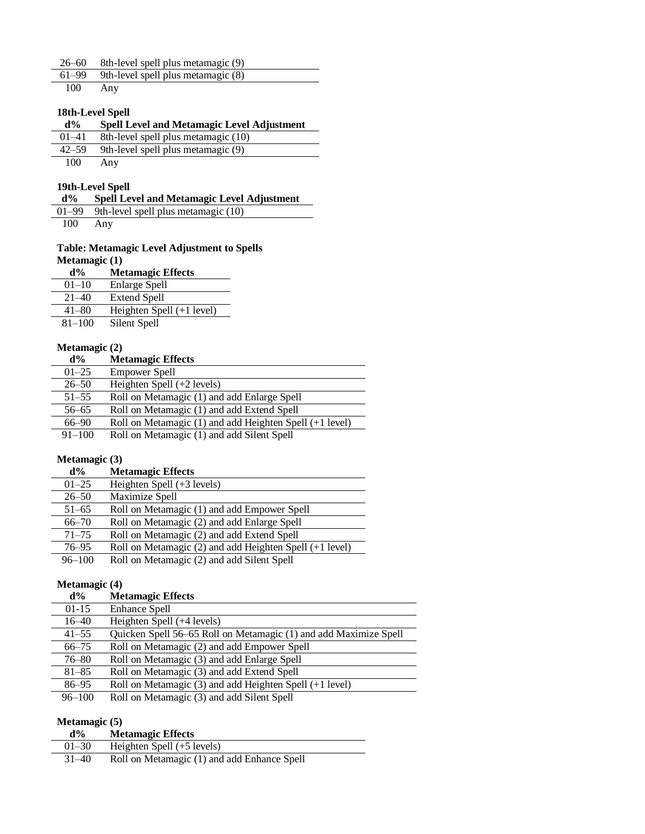|     | 26–60 8th-level spell plus metamagic (9)     |
|-----|----------------------------------------------|
|     | $61-99$ 9th-level spell plus metamagic $(8)$ |
| 100 | Any                                          |

### **18th-Level Spell**

| d% | <b>Spell Level and Metamagic Level Adjustment</b> |
|----|---------------------------------------------------|
|    |                                                   |

- 01–41 8th-level spell plus metamagic (10) 42–59 9th-level spell plus metamagic (9)
- 100 Any

### **19th-Level Spell d% Spell Level and Metamagic Level Adjustment**

01–99 9th-level spell plus metamagic (10)

100 Any

### **Table: Metamagic Level Adjustment to Spells Metamagic (1)**

| $d\%$      | <b>Metamagic Effects</b>    |
|------------|-----------------------------|
| $01 - 10$  | Enlarge Spell               |
| $21 - 40$  | Extend Spell                |
| $41 - 80$  | Heighten Spell $(+1$ level) |
| $81 - 100$ | Silent Spell                |

### **Metamagic (2)**

| $d\%$      | <b>Metamagic Effects</b>                                |
|------------|---------------------------------------------------------|
| $01 - 25$  | <b>Empower Spell</b>                                    |
| $26 - 50$  | Heighten Spell $(+2$ levels)                            |
| $51 - 55$  | Roll on Metamagic (1) and add Enlarge Spell             |
| $56 - 65$  | Roll on Metamagic (1) and add Extend Spell              |
| 66–90      | Roll on Metamagic (1) and add Heighten Spell (+1 level) |
| $91 - 100$ | Roll on Metamagic (1) and add Silent Spell              |

### **Metamagic (3)**

| $d\%$      | <b>Metamagic Effects</b>                                    |
|------------|-------------------------------------------------------------|
| $01 - 25$  | Heighten Spell $(+3$ levels)                                |
| $26 - 50$  | Maximize Spell                                              |
| $51 - 65$  | Roll on Metamagic (1) and add Empower Spell                 |
| $66 - 70$  | Roll on Metamagic (2) and add Enlarge Spell                 |
| $71 - 75$  | Roll on Metamagic (2) and add Extend Spell                  |
| $76 - 95$  | Roll on Metamagic $(2)$ and add Heighten Spell $(+1$ level) |
| $96 - 100$ | Roll on Metamagic (2) and add Silent Spell                  |

### **Metamagic (4)**

| $d\%$      | <b>Metamagic Effects</b>                                         |
|------------|------------------------------------------------------------------|
| $01-15$    | <b>Enhance Spell</b>                                             |
| $16 - 40$  | Heighten Spell (+4 levels)                                       |
| $41 - 55$  | Quicken Spell 56–65 Roll on Metamagic (1) and add Maximize Spell |
| $66 - 75$  | Roll on Metamagic (2) and add Empower Spell                      |
| $76 - 80$  | Roll on Metamagic (3) and add Enlarge Spell                      |
| $81 - 85$  | Roll on Metamagic (3) and add Extend Spell                       |
| $86 - 95$  | Roll on Metamagic $(3)$ and add Heighten Spell $(+1$ level)      |
| $96 - 100$ | Roll on Metamagic (3) and add Silent Spell                       |

### **Metamagic (5)**

| $d\%$     | <b>Metamagic Effects</b>                    |
|-----------|---------------------------------------------|
| $01 - 30$ | Heighten Spell $(+5$ levels)                |
| $31 - 40$ | Roll on Metamagic (1) and add Enhance Spell |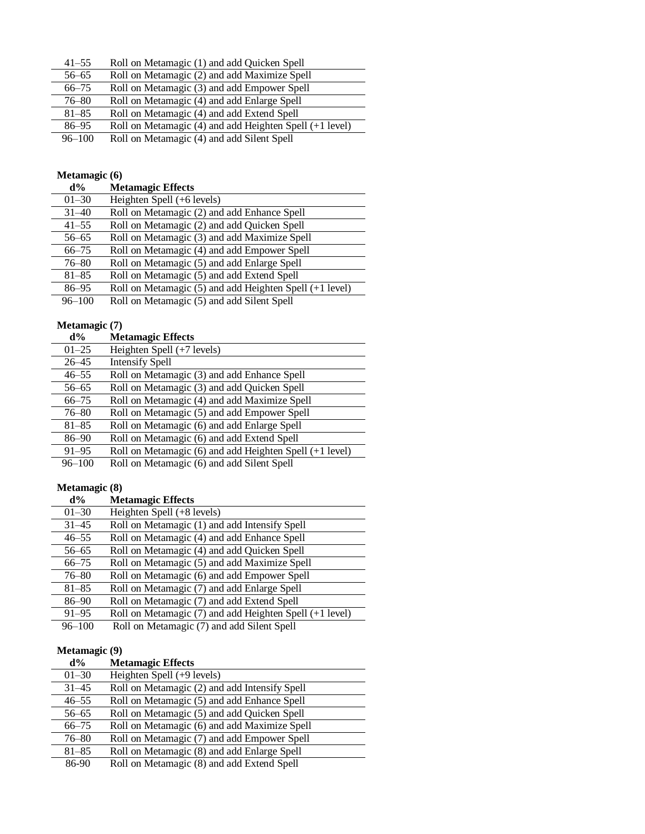| $41 - 55$  | Roll on Metamagic (1) and add Quicken Spell             |
|------------|---------------------------------------------------------|
| $56 - 65$  | Roll on Metamagic (2) and add Maximize Spell            |
| $66 - 75$  | Roll on Metamagic (3) and add Empower Spell             |
| $76 - 80$  | Roll on Metamagic (4) and add Enlarge Spell             |
| $81 - 85$  | Roll on Metamagic (4) and add Extend Spell              |
| $86 - 95$  | Roll on Metamagic (4) and add Heighten Spell (+1 level) |
| $96 - 100$ | Roll on Metamagic (4) and add Silent Spell              |

#### **Metamagic (6)**

| $d\%$      | <b>Metamagic Effects</b>                                |
|------------|---------------------------------------------------------|
| $01 - 30$  | Heighten Spell (+6 levels)                              |
| $31 - 40$  | Roll on Metamagic (2) and add Enhance Spell             |
| $41 - 55$  | Roll on Metamagic (2) and add Quicken Spell             |
| $56 - 65$  | Roll on Metamagic (3) and add Maximize Spell            |
| $66 - 75$  | Roll on Metamagic (4) and add Empower Spell             |
| $76 - 80$  | Roll on Metamagic (5) and add Enlarge Spell             |
| $81 - 85$  | Roll on Metamagic (5) and add Extend Spell              |
| $86 - 95$  | Roll on Metamagic (5) and add Heighten Spell (+1 level) |
| $96 - 100$ | Roll on Metamagic (5) and add Silent Spell              |

### **Metamagic (7)**

| Metamagic $(7)$ |                                                         |
|-----------------|---------------------------------------------------------|
| $d\%$           | <b>Metamagic Effects</b>                                |
| $01 - 25$       | Heighten Spell (+7 levels)                              |
| $26 - 45$       | <b>Intensify Spell</b>                                  |
| $46 - 55$       | Roll on Metamagic (3) and add Enhance Spell             |
| $56 - 65$       | Roll on Metamagic (3) and add Quicken Spell             |
| $66 - 75$       | Roll on Metamagic (4) and add Maximize Spell            |
| $76 - 80$       | Roll on Metamagic (5) and add Empower Spell             |
| $81 - 85$       | Roll on Metamagic (6) and add Enlarge Spell             |
| 86-90           | Roll on Metamagic (6) and add Extend Spell              |
| $91 - 95$       | Roll on Metamagic (6) and add Heighten Spell (+1 level) |
| $96 - 100$      | Roll on Metamagic (6) and add Silent Spell              |

### **Metamagic (8)**

| $d\%$      | <b>Metamagic Effects</b>                                    |
|------------|-------------------------------------------------------------|
| $01 - 30$  | Heighten Spell (+8 levels)                                  |
| $31 - 45$  | Roll on Metamagic (1) and add Intensify Spell               |
| $46 - 55$  | Roll on Metamagic (4) and add Enhance Spell                 |
| $56 - 65$  | Roll on Metamagic (4) and add Quicken Spell                 |
| $66 - 75$  | Roll on Metamagic (5) and add Maximize Spell                |
| $76 - 80$  | Roll on Metamagic (6) and add Empower Spell                 |
| $81 - 85$  | Roll on Metamagic (7) and add Enlarge Spell                 |
| $86 - 90$  | Roll on Metamagic (7) and add Extend Spell                  |
| $91 - 95$  | Roll on Metamagic $(7)$ and add Heighten Spell $(+1$ level) |
| $96 - 100$ | Roll on Metamagic (7) and add Silent Spell                  |

# **Metamagic (9)**

| $d\%$     | <b>Metamagic Effects</b>                      |
|-----------|-----------------------------------------------|
| $01 - 30$ | Heighten Spell $(+9$ levels)                  |
| $31 - 45$ | Roll on Metamagic (2) and add Intensify Spell |
| $46 - 55$ | Roll on Metamagic (5) and add Enhance Spell   |
| $56 - 65$ | Roll on Metamagic (5) and add Quicken Spell   |
| $66 - 75$ | Roll on Metamagic (6) and add Maximize Spell  |
| $76 - 80$ | Roll on Metamagic (7) and add Empower Spell   |
| $81 - 85$ | Roll on Metamagic (8) and add Enlarge Spell   |
| 86-90     | Roll on Metamagic (8) and add Extend Spell    |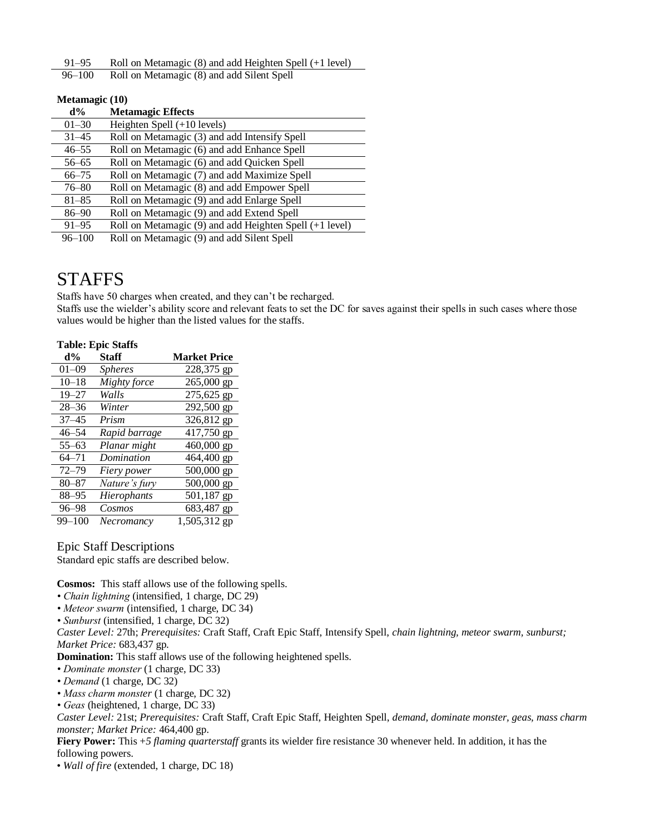91–95 Roll on Metamagic (8) and add Heighten Spell (+1 level)

96–100 Roll on Metamagic (8) and add Silent Spell

| Metamagic (10) |                                                         |
|----------------|---------------------------------------------------------|
| $d\%$          | <b>Metamagic Effects</b>                                |
| $01 - 30$      | Heighten Spell $(+10$ levels)                           |
| $31 - 45$      | Roll on Metamagic (3) and add Intensify Spell           |
| $46 - 55$      | Roll on Metamagic (6) and add Enhance Spell             |
| $56 - 65$      | Roll on Metamagic (6) and add Quicken Spell             |
| $66 - 75$      | Roll on Metamagic (7) and add Maximize Spell            |
| $76 - 80$      | Roll on Metamagic (8) and add Empower Spell             |
| $81 - 85$      | Roll on Metamagic (9) and add Enlarge Spell             |
| $86 - 90$      | Roll on Metamagic (9) and add Extend Spell              |
| $91 - 95$      | Roll on Metamagic (9) and add Heighten Spell (+1 level) |
| $96 - 100$     | Roll on Metamagic (9) and add Silent Spell              |

# STAFFS

Staffs have 50 charges when created, and they can't be recharged.

Staffs use the wielder's ability score and relevant feats to set the DC for saves against their spells in such cases where those values would be higher than the listed values for the staffs.

### **Table: Epic Staffs**

| $d\%$      | <b>Staff</b>   | <b>Market Price</b> |
|------------|----------------|---------------------|
| 01–09      | <i>Spheres</i> | 228,375 gp          |
| $10 - 18$  | Mighty force   | 265,000 gp          |
| $19 - 27$  | Walls          | 275,625 gp          |
| $28 - 36$  | Winter         | 292,500 gp          |
| $37 - 45$  | Prism          | 326,812 gp          |
| $46 - 54$  | Rapid barrage  | 417,750 gp          |
| $55 - 63$  | Planar might   | 460,000 gp          |
| 64–71      | Domination     | 464,400 gp          |
| $72 - 79$  | Fiery power    | 500,000 gp          |
| $80 - 87$  | Nature's fury  | 500,000 gp          |
| $88 - 95$  | Hierophants    | 501,187 gp          |
| $96 - 98$  | Cosmos         | 683,487 gp          |
| $99 - 100$ | Necromancy     | 1,505,312 gp        |

Epic Staff Descriptions

Standard epic staffs are described below.

**Cosmos:** This staff allows use of the following spells.

- *Chain lightning* (intensified, 1 charge, DC 29)
- *Meteor swarm* (intensified, 1 charge, DC 34)
- *Sunburst* (intensified, 1 charge, DC 32)

*Caster Level:* 27th; *Prerequisites:* Craft Staff, Craft Epic Staff, Intensify Spell, *chain lightning, meteor swarm, sunburst; Market Price:* 683,437 gp.

**Domination:** This staff allows use of the following heightened spells.

- *Dominate monster* (1 charge, DC 33)
- *Demand* (1 charge, DC 32)
- *Mass charm monster* (1 charge, DC 32)
- *Geas* (heightened, 1 charge, DC 33)

*Caster Level:* 21st; *Prerequisites:* Craft Staff, Craft Epic Staff, Heighten Spell, *demand, dominate monster, geas, mass charm monster; Market Price:* 464,400 gp.

**Fiery Power:** This +5 *flaming quarterstaff* grants its wielder fire resistance 30 whenever held. In addition, it has the following powers.

• *Wall of fire* (extended, 1 charge, DC 18)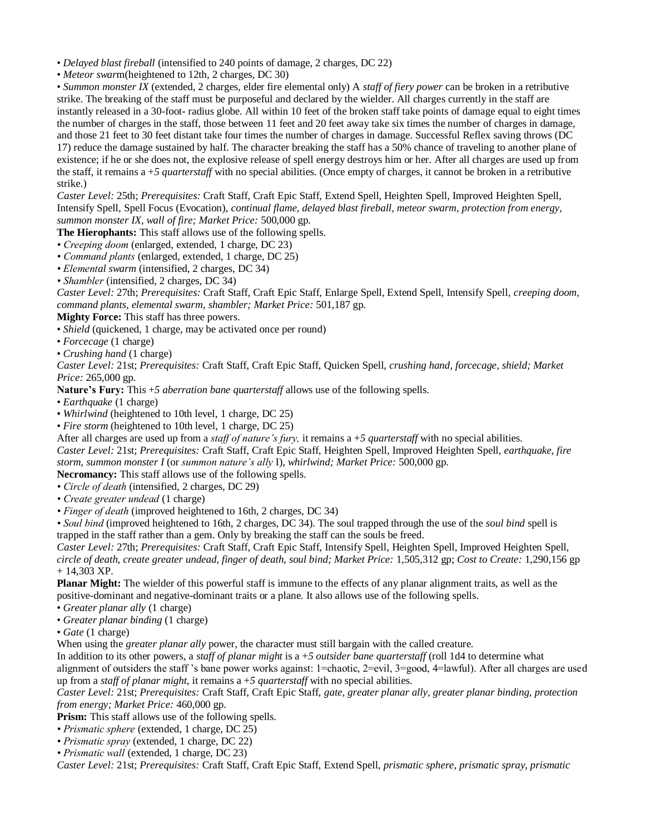• *Delayed blast fireball* (intensified to 240 points of damage, 2 charges, DC 22)

• *Meteor swarm*(heightened to 12th, 2 charges, DC 30)

• *Summon monster IX* (extended, 2 charges, elder fire elemental only) A *staff of fiery power* can be broken in a retributive strike. The breaking of the staff must be purposeful and declared by the wielder. All charges currently in the staff are instantly released in a 30-foot- radius globe. All within 10 feet of the broken staff take points of damage equal to eight times the number of charges in the staff, those between 11 feet and 20 feet away take six times the number of charges in damage, and those 21 feet to 30 feet distant take four times the number of charges in damage. Successful Reflex saving throws (DC 17) reduce the damage sustained by half. The character breaking the staff has a 50% chance of traveling to another plane of existence; if he or she does not, the explosive release of spell energy destroys him or her. After all charges are used up from the staff, it remains a +*5 quarterstaff* with no special abilities. (Once empty of charges, it cannot be broken in a retributive strike.)

*Caster Level:* 25th; *Prerequisites:* Craft Staff, Craft Epic Staff, Extend Spell, Heighten Spell, Improved Heighten Spell, Intensify Spell, Spell Focus (Evocation), *continual flame, delayed blast fireball, meteor swarm, protection from energy, summon monster IX, wall of fire; Market Price:* 500,000 gp.

**The Hierophants:** This staff allows use of the following spells.

- *Creeping doom* (enlarged, extended, 1 charge, DC 23)
- *Command plants* (enlarged, extended, 1 charge, DC 25)
- *Elemental swarm* (intensified, 2 charges, DC 34)
- *Shambler* (intensified, 2 charges, DC 34)

*Caster Level:* 27th; *Prerequisites:* Craft Staff, Craft Epic Staff, Enlarge Spell, Extend Spell, Intensify Spell, *creeping doom, command plants, elemental swarm, shambler; Market Price:* 501,187 gp.

**Mighty Force:** This staff has three powers.

• *Shield* (quickened, 1 charge, may be activated once per round)

• *Forcecage* (1 charge)

• *Crushing hand* (1 charge)

*Caster Level:* 21st; *Prerequisites:* Craft Staff, Craft Epic Staff, Quicken Spell, *crushing hand, forcecage, shield; Market Price:* 265,000 gp.

**Nature's Fury:** This +*5 aberration bane quarterstaff* allows use of the following spells.

- *Earthquake* (1 charge)
- *Whirlwind* (heightened to 10th level, 1 charge, DC 25)
- *Fire storm* (heightened to 10th level, 1 charge, DC 25)

After all charges are used up from a *staff of nature's fury,* it remains a +*5 quarterstaff* with no special abilities.

*Caster Level:* 21st; *Prerequisites:* Craft Staff, Craft Epic Staff, Heighten Spell, Improved Heighten Spell, *earthquake, fire storm, summon monster I* (or *summon nature's ally* I), *whirlwind; Market Price:* 500,000 gp.

**Necromancy:** This staff allows use of the following spells.

- *Circle of death* (intensified, 2 charges, DC 29)
- *Create greater undead* (1 charge)

*• Finger of death* (improved heightened to 16th, 2 charges, DC 34)

*• Soul bind* (improved heightened to 16th, 2 charges, DC 34). The soul trapped through the use of the *soul bind* spell is trapped in the staff rather than a gem. Only by breaking the staff can the souls be freed.

*Caster Level:* 27th; *Prerequisites:* Craft Staff, Craft Epic Staff, Intensify Spell, Heighten Spell, Improved Heighten Spell, *circle of death, create greater undead, finger of death, soul bind; Market Price:* 1,505,312 gp; *Cost to Create:* 1,290,156 gp + 14,303 XP.

**Planar Might:** The wielder of this powerful staff is immune to the effects of any planar alignment traits, as well as the positive-dominant and negative-dominant traits or a plane. It also allows use of the following spells.

- *Greater planar ally* (1 charge)
- *Greater planar binding* (1 charge)
- *Gate* (1 charge)

When using the *greater planar ally* power, the character must still bargain with the called creature.

In addition to its other powers, a *staff of planar might* is a +*5 outsider bane quarterstaff* (roll 1d4 to determine what alignment of outsiders the staff 's bane power works against: 1=chaotic, 2=evil, 3=good, 4=lawful). After all charges are used up from a *staff of planar might,* it remains a +*5 quarterstaff* with no special abilities.

*Caster Level:* 21st; *Prerequisites:* Craft Staff, Craft Epic Staff, *gate, greater planar ally, greater planar binding, protection from energy; Market Price:* 460,000 gp.

**Prism:** This staff allows use of the following spells.

- *Prismatic sphere* (extended, 1 charge, DC 25)
- *Prismatic spray* (extended, 1 charge, DC 22)
- *Prismatic wall* (extended, 1 charge, DC 23)

*Caster Level:* 21st; *Prerequisites:* Craft Staff, Craft Epic Staff, Extend Spell, *prismatic sphere, prismatic spray, prismatic*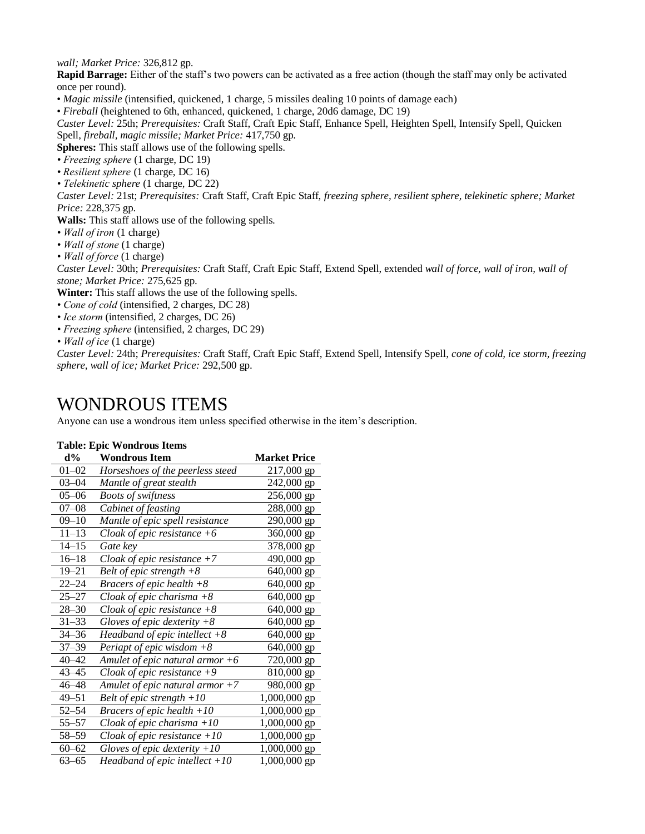*wall; Market Price:* 326,812 gp.

**Rapid Barrage:** Either of the staff's two powers can be activated as a free action (though the staff may only be activated once per round).

• *Magic missile* (intensified, quickened, 1 charge, 5 missiles dealing 10 points of damage each)

• *Fireball* (heightened to 6th, enhanced, quickened, 1 charge, 20d6 damage, DC 19)

*Caster Level:* 25th; *Prerequisites:* Craft Staff, Craft Epic Staff, Enhance Spell, Heighten Spell, Intensify Spell, Quicken Spell, *fireball, magic missile; Market Price:* 417,750 gp.

**Spheres:** This staff allows use of the following spells.

- *Freezing sphere* (1 charge, DC 19)
- *Resilient sphere* (1 charge, DC 16)
- *Telekinetic sphere* (1 charge, DC 22)

*Caster Level:* 21st; *Prerequisites:* Craft Staff, Craft Epic Staff, *freezing sphere, resilient sphere, telekinetic sphere; Market Price:* 228,375 gp.

**Walls:** This staff allows use of the following spells.

- *Wall of iron* (1 charge)
- *Wall of stone* (1 charge)
- *Wall of force* (1 charge)

*Caster Level:* 30th; *Prerequisites:* Craft Staff, Craft Epic Staff, Extend Spell, extended *wall of force, wall of iron, wall of stone; Market Price:* 275,625 gp.

**Winter:** This staff allows the use of the following spells.

- *Cone of cold* (intensified, 2 charges, DC 28)
- *Ice storm* (intensified, 2 charges, DC 26)
- *Freezing sphere* (intensified, 2 charges, DC 29)
- *Wall of ice* (1 charge)

*Caster Level:* 24th; *Prerequisites:* Craft Staff, Craft Epic Staff, Extend Spell, Intensify Spell, *cone of cold, ice storm, freezing sphere, wall of ice; Market Price:* 292,500 gp.

# WONDROUS ITEMS

Anyone can use a wondrous item unless specified otherwise in the item's description.

### **Table: Epic Wondrous Items**

| $d\%$     | <b>Wondrous Item</b>              | <b>Market Price</b> |
|-----------|-----------------------------------|---------------------|
| $01 - 02$ | Horseshoes of the peerless steed  | 217,000 gp          |
| $03 - 04$ | Mantle of great stealth           | 242,000 gp          |
| $05 - 06$ | <b>Boots of swiftness</b>         | 256,000 gp          |
| $07 - 08$ | Cabinet of feasting               | 288,000 gp          |
| $09 - 10$ | Mantle of epic spell resistance   | 290,000 gp          |
| $11 - 13$ | Cloak of epic resistance $+6$     | 360,000 gp          |
| $14 - 15$ | Gate key                          | 378,000 gp          |
| $16 - 18$ | Cloak of epic resistance $+7$     | 490,000 gp          |
| $19 - 21$ | Belt of epic strength $+8$        | 640,000 gp          |
| $22 - 24$ | Bracers of epic health $+8$       | 640,000 gp          |
| $25 - 27$ | Cloak of epic charisma $+8$       | 640,000 gp          |
| $28 - 30$ | Cloak of epic resistance $+8$     | 640,000 gp          |
| $31 - 33$ | Gloves of epic dexterity $+8$     | 640,000 gp          |
| $34 - 36$ | Headband of epic intellect $+8$   | $640,000$ gp        |
| $37 - 39$ | Periapt of epic wisdom $+8$       | 640,000 gp          |
| $40 - 42$ | Amulet of epic natural armor $+6$ | 720,000 gp          |
| $43 - 45$ | Cloak of epic resistance $+9$     | 810,000 gp          |
| $46 - 48$ | Amulet of epic natural armor $+7$ | 980,000 gp          |
| $49 - 51$ | Belt of epic strength $+10$       | 1,000,000 gp        |
| $52 - 54$ | Bracers of epic health $+10$      | 1,000,000 gp        |
| $55 - 57$ | Cloak of epic charisma $+10$      | 1,000,000 gp        |
| 58–59     | Cloak of epic resistance $+10$    | 1,000,000 gp        |
| $60 - 62$ | Gloves of epic dexterity $+10$    | 1,000,000 gp        |
| $63 - 65$ | Headband of epic intellect $+10$  | 1,000,000 gp        |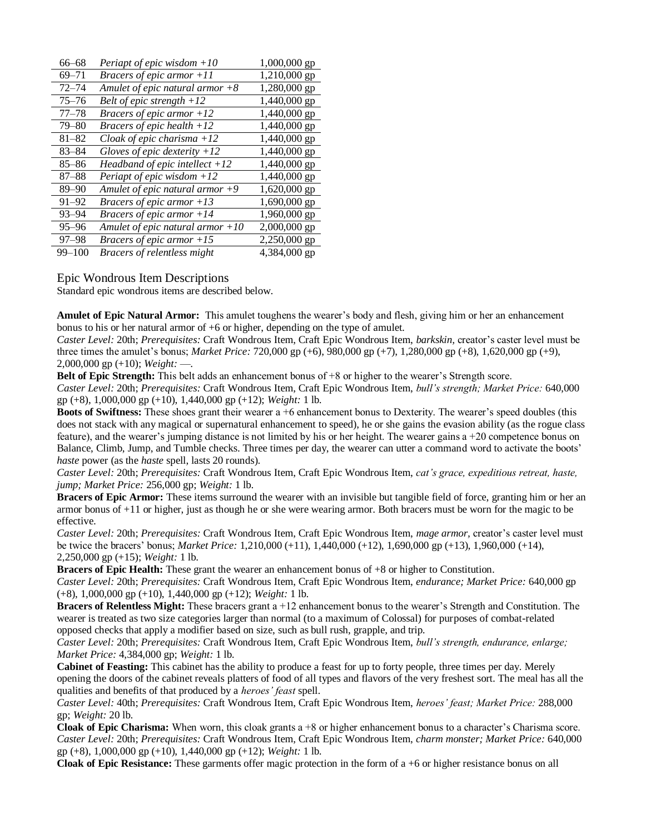| $66 - 68$  | Periapt of epic wisdom $+10$        | 1,000,000 gp |
|------------|-------------------------------------|--------------|
| $69 - 71$  | <i>Bracers of epic armor</i> $+11$  | 1,210,000 gp |
| $72 - 74$  | Amulet of epic natural armor $+8$   | 1,280,000 gp |
| $75 - 76$  | Belt of epic strength $+12$         | 1,440,000 gp |
| $77 - 78$  | <i>Bracers of epic armor</i> $+12$  | 1,440,000 gp |
| $79 - 80$  | <i>Bracers of epic health</i> $+12$ | 1,440,000 gp |
| $81 - 82$  | Cloak of epic charisma $+12$        | 1,440,000 gp |
| $83 - 84$  | Gloves of epic dexterity $+12$      | 1,440,000 gp |
| $85 - 86$  | Headband of epic intellect $+12$    | 1,440,000 gp |
| $87 - 88$  | Periapt of epic wisdom $+12$        | 1,440,000 gp |
| $89 - 90$  | Amulet of epic natural armor $+9$   | 1,620,000 gp |
| $91 - 92$  | <i>Bracers of epic armor</i> $+13$  | 1,690,000 gp |
| $93 - 94$  | <i>Bracers of epic armor</i> $+14$  | 1,960,000 gp |
| $95 - 96$  | Amulet of epic natural armor $+10$  | 2,000,000 gp |
| $97 - 98$  | <i>Bracers of epic armor</i> $+15$  | 2,250,000 gp |
| $99 - 100$ | Bracers of relentless might         | 4,384,000 gp |

Epic Wondrous Item Descriptions

Standard epic wondrous items are described below.

**Amulet of Epic Natural Armor:** This amulet toughens the wearer's body and flesh, giving him or her an enhancement bonus to his or her natural armor of +6 or higher, depending on the type of amulet.

*Caster Level:* 20th; *Prerequisites:* Craft Wondrous Item, Craft Epic Wondrous Item, *barkskin,* creator's caster level must be three times the amulet's bonus; *Market Price:* 720,000 gp (+6), 980,000 gp (+7), 1,280,000 gp (+8), 1,620,000 gp (+9), 2,000,000 gp (+10); *Weight:* —.

**Belt of Epic Strength:** This belt adds an enhancement bonus of  $+8$  or higher to the wearer's Strength score. *Caster Level:* 20th; *Prerequisites:* Craft Wondrous Item, Craft Epic Wondrous Item, *bull's strength; Market Price:* 640,000 gp (+8), 1,000,000 gp (+10), 1,440,000 gp (+12); *Weight:* 1 lb.

**Boots of Swiftness:** These shoes grant their wearer a +6 enhancement bonus to Dexterity. The wearer's speed doubles (this does not stack with any magical or supernatural enhancement to speed), he or she gains the evasion ability (as the rogue class feature), and the wearer's jumping distance is not limited by his or her height. The wearer gains a +20 competence bonus on Balance, Climb, Jump, and Tumble checks. Three times per day, the wearer can utter a command word to activate the boots' *haste* power (as the *haste* spell, lasts 20 rounds).

*Caster Level:* 20th; *Prerequisites:* Craft Wondrous Item, Craft Epic Wondrous Item, *cat's grace, expeditious retreat, haste, jump; Market Price:* 256,000 gp; *Weight:* 1 lb.

**Bracers of Epic Armor:** These items surround the wearer with an invisible but tangible field of force, granting him or her an armor bonus of +11 or higher, just as though he or she were wearing armor. Both bracers must be worn for the magic to be effective.

*Caster Level:* 20th; *Prerequisites:* Craft Wondrous Item, Craft Epic Wondrous Item, *mage armor,* creator's caster level must be twice the bracers' bonus; *Market Price:* 1,210,000 (+11), 1,440,000 (+12), 1,690,000 gp (+13), 1,960,000 (+14), 2,250,000 gp (+15); *Weight:* 1 lb.

**Bracers of Epic Health:** These grant the wearer an enhancement bonus of +8 or higher to Constitution. *Caster Level:* 20th; *Prerequisites:* Craft Wondrous Item, Craft Epic Wondrous Item, *endurance; Market Price:* 640,000 gp

(+8), 1,000,000 gp (+10), 1,440,000 gp (+12); *Weight:* 1 lb.

**Bracers of Relentless Might:** These bracers grant a +12 enhancement bonus to the wearer's Strength and Constitution. The wearer is treated as two size categories larger than normal (to a maximum of Colossal) for purposes of combat-related opposed checks that apply a modifier based on size, such as bull rush, grapple, and trip.

*Caster Level:* 20th; *Prerequisites:* Craft Wondrous Item, Craft Epic Wondrous Item, *bull's strength, endurance, enlarge; Market Price:* 4,384,000 gp; *Weight:* 1 lb.

**Cabinet of Feasting:** This cabinet has the ability to produce a feast for up to forty people, three times per day. Merely opening the doors of the cabinet reveals platters of food of all types and flavors of the very freshest sort. The meal has all the qualities and benefits of that produced by a *heroes' feast* spell.

*Caster Level:* 40th; *Prerequisites:* Craft Wondrous Item, Craft Epic Wondrous Item, *heroes' feast; Market Price:* 288,000 gp; *Weight:* 20 lb.

**Cloak of Epic Charisma:** When worn, this cloak grants a +8 or higher enhancement bonus to a character's Charisma score. *Caster Level:* 20th; *Prerequisites:* Craft Wondrous Item, Craft Epic Wondrous Item, *charm monster; Market Price:* 640,000 gp (+8), 1,000,000 gp (+10), 1,440,000 gp (+12); *Weight:* 1 lb.

**Cloak of Epic Resistance:** These garments offer magic protection in the form of a +6 or higher resistance bonus on all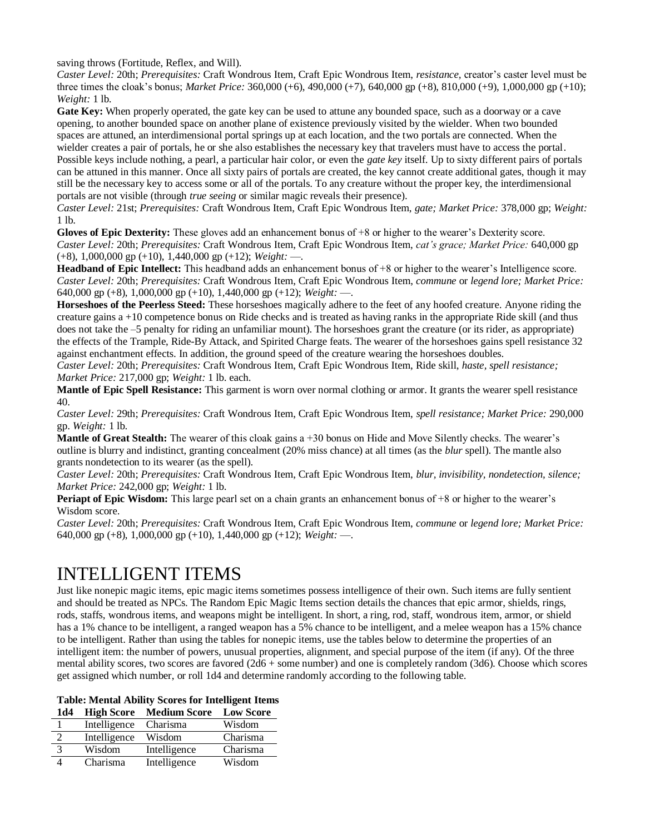saving throws (Fortitude, Reflex, and Will).

*Caster Level:* 20th; *Prerequisites:* Craft Wondrous Item, Craft Epic Wondrous Item, *resistance,* creator's caster level must be three times the cloak's bonus; *Market Price:* 360,000 (+6), 490,000 (+7), 640,000 gp (+8), 810,000 (+9), 1,000,000 gp (+10); *Weight:* 1 lb.

**Gate Key:** When properly operated, the gate key can be used to attune any bounded space, such as a doorway or a cave opening, to another bounded space on another plane of existence previously visited by the wielder. When two bounded spaces are attuned, an interdimensional portal springs up at each location, and the two portals are connected. When the wielder creates a pair of portals, he or she also establishes the necessary key that travelers must have to access the portal. Possible keys include nothing, a pearl, a particular hair color, or even the *gate key* itself. Up to sixty different pairs of portals can be attuned in this manner. Once all sixty pairs of portals are created, the key cannot create additional gates, though it may still be the necessary key to access some or all of the portals. To any creature without the proper key, the interdimensional portals are not visible (through *true seeing* or similar magic reveals their presence).

*Caster Level:* 21st; *Prerequisites:* Craft Wondrous Item, Craft Epic Wondrous Item, *gate; Market Price:* 378,000 gp; *Weight:*  1 lb.

**Gloves of Epic Dexterity:** These gloves add an enhancement bonus of +8 or higher to the wearer's Dexterity score. *Caster Level:* 20th; *Prerequisites:* Craft Wondrous Item, Craft Epic Wondrous Item, *cat's grace; Market Price:* 640,000 gp (+8), 1,000,000 gp (+10), 1,440,000 gp (+12); *Weight:* —.

Headband of Epic Intellect: This headband adds an enhancement bonus of +8 or higher to the wearer's Intelligence score. *Caster Level:* 20th; *Prerequisites:* Craft Wondrous Item, Craft Epic Wondrous Item, *commune* or *legend lore; Market Price:*  640,000 gp (+8), 1,000,000 gp (+10), 1,440,000 gp (+12); *Weight:* —.

**Horseshoes of the Peerless Steed:** These horseshoes magically adhere to the feet of any hoofed creature. Anyone riding the creature gains a +10 competence bonus on Ride checks and is treated as having ranks in the appropriate Ride skill (and thus does not take the –5 penalty for riding an unfamiliar mount). The horseshoes grant the creature (or its rider, as appropriate) the effects of the Trample, Ride-By Attack, and Spirited Charge feats. The wearer of the horseshoes gains spell resistance 32 against enchantment effects. In addition, the ground speed of the creature wearing the horseshoes doubles.

*Caster Level:* 20th; *Prerequisites:* Craft Wondrous Item, Craft Epic Wondrous Item, Ride skill, *haste, spell resistance; Market Price:* 217,000 gp; *Weight:* 1 lb. each.

**Mantle of Epic Spell Resistance:** This garment is worn over normal clothing or armor. It grants the wearer spell resistance 40.

*Caster Level:* 29th; *Prerequisites:* Craft Wondrous Item, Craft Epic Wondrous Item, *spell resistance; Market Price:* 290,000 gp. *Weight:* 1 lb.

**Mantle of Great Stealth:** The wearer of this cloak gains a +30 bonus on Hide and Move Silently checks. The wearer's outline is blurry and indistinct, granting concealment (20% miss chance) at all times (as the *blur* spell). The mantle also grants nondetection to its wearer (as the spell).

*Caster Level:* 20th; *Prerequisites:* Craft Wondrous Item, Craft Epic Wondrous Item, *blur, invisibility, nondetection, silence; Market Price:* 242,000 gp; *Weight:* 1 lb.

**Periapt of Epic Wisdom:** This large pearl set on a chain grants an enhancement bonus of +8 or higher to the wearer's Wisdom score.

*Caster Level:* 20th; *Prerequisites:* Craft Wondrous Item, Craft Epic Wondrous Item, *commune* or *legend lore; Market Price:*  640,000 gp (+8), 1,000,000 gp (+10), 1,440,000 gp (+12); *Weight:* —.

# INTELLIGENT ITEMS

Just like nonepic magic items, epic magic items sometimes possess intelligence of their own. Such items are fully sentient and should be treated as NPCs. The Random Epic Magic Items section details the chances that epic armor, shields, rings, rods, staffs, wondrous items, and weapons might be intelligent. In short, a ring, rod, staff, wondrous item, armor, or shield has a 1% chance to be intelligent, a ranged weapon has a 5% chance to be intelligent, and a melee weapon has a 15% chance to be intelligent. Rather than using the tables for nonepic items*,* use the tables below to determine the properties of an intelligent item: the number of powers, unusual properties, alignment, and special purpose of the item (if any). Of the three mental ability scores, two scores are favored (2d6 + some number) and one is completely random (3d6). Choose which scores get assigned which number, or roll 1d4 and determine randomly according to the following table.

### **Table: Mental Ability Scores for Intelligent Items**

| 1d4 |              | <b>High Score Medium Score Low Score</b> |          |
|-----|--------------|------------------------------------------|----------|
|     | Intelligence | Charisma                                 | Wisdom   |
| 2   | Intelligence | Wisdom                                   | Charisma |
|     | Wisdom       | Intelligence                             | Charisma |
|     | Charisma     | Intelligence                             | Wisdom   |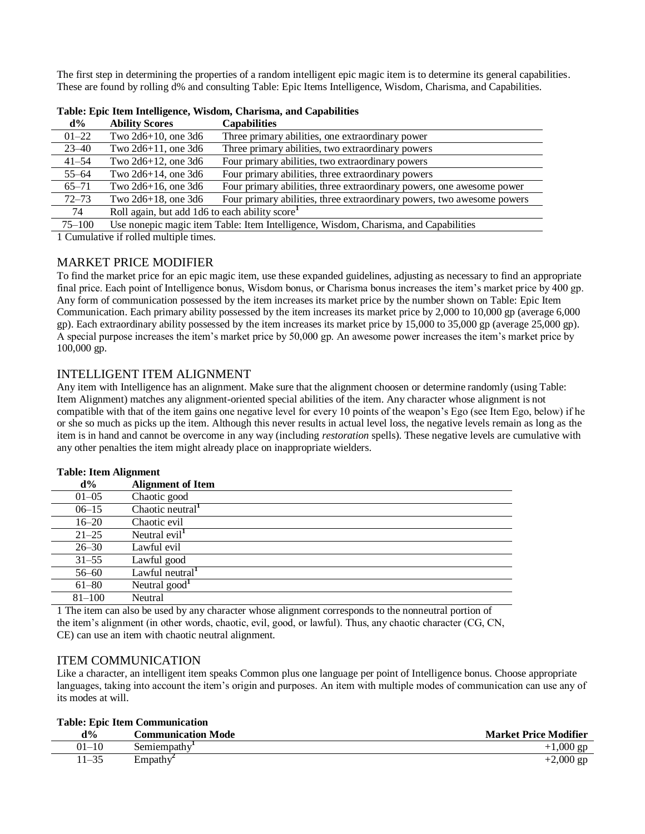The first step in determining the properties of a random intelligent epic magic item is to determine its general capabilities. These are found by rolling d% and consulting Table: Epic Items Intelligence, Wisdom, Charisma, and Capabilities.

| $d\%$      | <b>Ability Scores</b>                         | <b>Capabilities</b>                                                                 |
|------------|-----------------------------------------------|-------------------------------------------------------------------------------------|
| $01 - 22$  | Two $2d6+10$ , one $3d6$                      | Three primary abilities, one extraordinary power                                    |
| $23 - 40$  | Two $2d6+11$ , one $3d6$                      | Three primary abilities, two extraordinary powers                                   |
| $41 - 54$  | Two $2d6+12$ , one $3d6$                      | Four primary abilities, two extraordinary powers                                    |
| $55 - 64$  | Two $2d6+14$ , one $3d6$                      | Four primary abilities, three extraordinary powers                                  |
| $65 - 71$  | Two $2d6+16$ , one $3d6$                      | Four primary abilities, three extraordinary powers, one awesome power               |
| $72 - 73$  | Two $2d6+18$ , one $3d6$                      | Four primary abilities, three extraordinary powers, two awesome powers              |
| 74         | Roll again, but add 1d6 to each ability score |                                                                                     |
| $75 - 100$ |                                               | Use nonepic magic item Table: Item Intelligence, Wisdom, Charisma, and Capabilities |
|            |                                               |                                                                                     |

| Table: Epic Item Intelligence, Wisdom, Charisma, and Capabilities |  |  |  |  |
|-------------------------------------------------------------------|--|--|--|--|
|-------------------------------------------------------------------|--|--|--|--|

1 Cumulative if rolled multiple times.

### MARKET PRICE MODIFIER

To find the market price for an epic magic item, use these expanded guidelines, adjusting as necessary to find an appropriate final price. Each point of Intelligence bonus, Wisdom bonus, or Charisma bonus increases the item's market price by 400 gp. Any form of communication possessed by the item increases its market price by the number shown on Table: Epic Item Communication. Each primary ability possessed by the item increases its market price by 2,000 to 10,000 gp (average 6,000 gp). Each extraordinary ability possessed by the item increases its market price by 15,000 to 35,000 gp (average 25,000 gp). A special purpose increases the item's market price by 50,000 gp. An awesome power increases the item's market price by 100,000 gp.

### INTELLIGENT ITEM ALIGNMENT

Any item with Intelligence has an alignment. Make sure that the alignment choosen or determine randomly (using Table: Item Alignment) matches any alignment-oriented special abilities of the item. Any character whose alignment is not compatible with that of the item gains one negative level for every 10 points of the weapon's Ego (see Item Ego, below) if he or she so much as picks up the item. Although this never results in actual level loss, the negative levels remain as long as the item is in hand and cannot be overcome in any way (including *restoration* spells). These negative levels are cumulative with any other penalties the item might already place on inappropriate wielders.

|  |  | <b>Table: Item Alignment</b> |
|--|--|------------------------------|
|--|--|------------------------------|

| $d\%$      | <b>Alignment of Item</b>                         |
|------------|--------------------------------------------------|
| $01 - 05$  | Chaotic good                                     |
| $06 - 15$  | $\overline{\text{Chaotic}}$ neutral <sup>1</sup> |
| $16 - 20$  | Chaotic evil                                     |
| $21 - 25$  | Neutral evil <sup>1</sup>                        |
| $26 - 30$  | Lawful evil                                      |
| $31 - 55$  | Lawful good                                      |
| $56 - 60$  | Lawful neutral <sup>1</sup>                      |
| $61 - 80$  | Neutral $good1$                                  |
| $81 - 100$ | Neutral                                          |

1 The item can also be used by any character whose alignment corresponds to the nonneutral portion of the item's alignment (in other words, chaotic, evil, good, or lawful). Thus, any chaotic character (CG, CN, CE) can use an item with chaotic neutral alignment.

### ITEM COMMUNICATION

Like a character, an intelligent item speaks Common plus one language per point of Intelligence bonus. Choose appropriate languages, taking into account the item's origin and purposes. An item with multiple modes of communication can use any of its modes at will.

#### **Table: Epic Item Communication**

| $d\%$              | <b>Communication Mode</b> | <b>Market Price Modifier</b> |
|--------------------|---------------------------|------------------------------|
| $_{01-10}$         | Semiempathy               | 1.000<br>$\sigma$ n          |
| 11 25<br>$11 - 33$ | Empathy                   | $+2,000$ gp                  |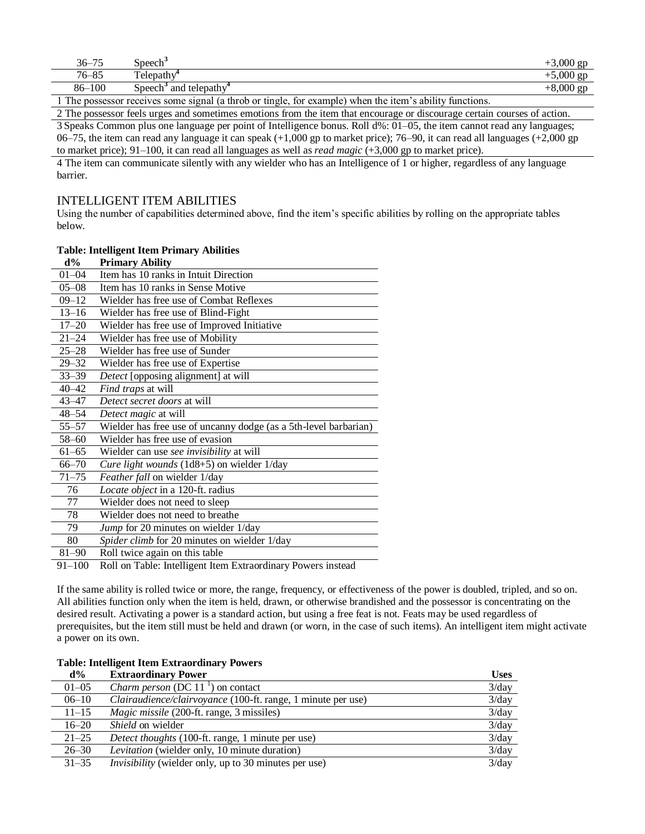| $36 - 75$ | Speech <sup>3</sup>                                                                                    | $+3,000$ gp |
|-----------|--------------------------------------------------------------------------------------------------------|-------------|
| $76 - 85$ | Telepathy <sup>*</sup>                                                                                 | $+5,000$ gp |
| 86-100    | Speech <sup>3</sup> and telepath $v^4$                                                                 | $+8,000$ gp |
|           | The possessor receives some signal (a throb or tingle, for example) when the item's ability functions. |             |

2 The possessor feels urges and sometimes emotions from the item that encourage or discourage certain courses of action.

3 Speaks Common plus one language per point of Intelligence bonus. Roll d%: 01–05, the item cannot read any languages; 06–75, the item can read any language it can speak  $(+1,000$  gp to market price); 76–90, it can read all languages  $(+2,000$  gp to market price); 91–100, it can read all languages as well as *read magic* (+3,000 gp to market price).

4 The item can communicate silently with any wielder who has an Intelligence of 1 or higher, regardless of any language barrier.

### INTELLIGENT ITEM ABILITIES

Using the number of capabilities determined above, find the item's specific abilities by rolling on the appropriate tables below.

### **Table: Intelligent Item Primary Abilities**

| $d\%$     | <b>Primary Ability</b>                                              |
|-----------|---------------------------------------------------------------------|
| $01 - 04$ | Item has 10 ranks in Intuit Direction                               |
| $05 - 08$ | Item has 10 ranks in Sense Motive                                   |
| $09 - 12$ | Wielder has free use of Combat Reflexes                             |
| $13 - 16$ | Wielder has free use of Blind-Fight                                 |
| $17 - 20$ | Wielder has free use of Improved Initiative                         |
| $21 - 24$ | Wielder has free use of Mobility                                    |
| $25 - 28$ | Wielder has free use of Sunder                                      |
| $29 - 32$ | Wielder has free use of Expertise                                   |
| $33 - 39$ | Detect [opposing alignment] at will                                 |
| $40 - 42$ | Find traps at will                                                  |
| $43 - 47$ | Detect secret doors at will                                         |
| 48–54     | Detect magic at will                                                |
| $55 - 57$ | Wielder has free use of uncanny dodge (as a 5th-level barbarian)    |
| $58 - 60$ | Wielder has free use of evasion                                     |
| $61 - 65$ | Wielder can use see invisibility at will                            |
| $66 - 70$ | Cure light wounds (1d8+5) on wielder 1/day                          |
| $71 - 75$ | Feather fall on wielder 1/day                                       |
| 76        | Locate object in a 120-ft. radius                                   |
| 77        | Wielder does not need to sleep                                      |
| 78        | Wielder does not need to breathe                                    |
| 79        | Jump for 20 minutes on wielder 1/day                                |
| 80        | Spider climb for 20 minutes on wielder 1/day                        |
| 81-90     | Roll twice again on this table                                      |
| 100       | $\ddot{\phantom{0}}$<br>$-11 - 11$<br>$\cdot$<br>$\mathbf{I}$<br>n. |

91–100 Roll on Table: Intelligent Item Extraordinary Powers instead

If the same ability is rolled twice or more, the range, frequency, or effectiveness of the power is doubled, tripled, and so on. All abilities function only when the item is held, drawn, or otherwise brandished and the possessor is concentrating on the desired result. Activating a power is a standard action, but using a free feat is not. Feats may be used regardless of prerequisites, but the item still must be held and drawn (or worn, in the case of such items). An intelligent item might activate a power on its own.

### **Table: Intelligent Item Extraordinary Powers**

| $d\%$     | <b>Extraordinary Power</b>                                          | <b>Uses</b> |
|-----------|---------------------------------------------------------------------|-------------|
| $01 - 05$ | <i>Charm person</i> (DC 11 $^1$ ) on contact                        | 3/day       |
| $06 - 10$ | <i>Clairaudience/clairvoyance</i> (100-ft. range, 1 minute per use) | 3/day       |
| $11 - 15$ | <i>Magic missile</i> (200-ft. range, 3 missiles)                    | 3/day       |
| $16 - 20$ | <i>Shield</i> on wielder                                            | 3/day       |
| $21 - 25$ | <i>Detect thoughts</i> (100-ft. range, 1 minute per use)            | 3/day       |
| $26 - 30$ | <i>Levitation</i> (wielder only, 10 minute duration)                | 3/day       |
| $31 - 35$ | <i>Invisibility</i> (wielder only, up to 30 minutes per use)        | 3/day       |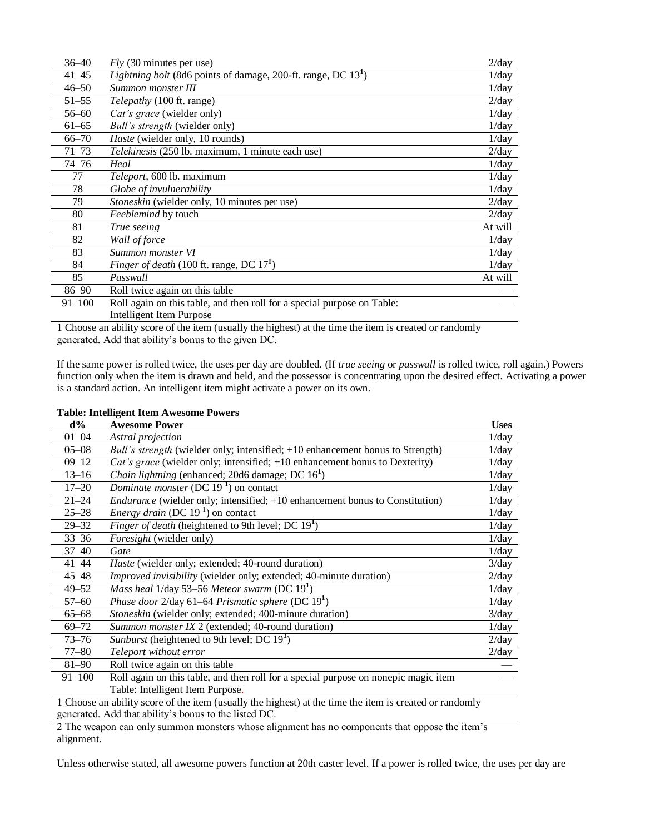| 36–40      | $Fly$ (30 minutes per use)                                              | $2$ /day |
|------------|-------------------------------------------------------------------------|----------|
| $41 - 45$  | <i>Lightning bolt</i> (8d6 points of damage, 200-ft. range, DC $131$ )  | 1/day    |
| $46 - 50$  | Summon monster III                                                      | 1/day    |
| $51 - 55$  | Telepathy (100 ft. range)                                               | $2$ /day |
| $56 - 60$  | Cat's grace (wielder only)                                              | 1/day    |
| $61 - 65$  | Bull's strength (wielder only)                                          | 1/day    |
| $66 - 70$  | <i>Haste</i> (wielder only, 10 rounds)                                  | $1$ /day |
| $71 - 73$  | Telekinesis (250 lb. maximum, 1 minute each use)                        | $2$ /day |
| $74 - 76$  | Heal                                                                    | 1/day    |
| 77         | Teleport, 600 lb. maximum                                               | 1/day    |
| 78         | Globe of invulnerability                                                | 1/day    |
| 79         | Stoneskin (wielder only, 10 minutes per use)                            | 2/day    |
| 80         | Feeblemind by touch                                                     | $2$ /day |
| 81         | True seeing                                                             | At will  |
| 82         | Wall of force                                                           | 1/day    |
| 83         | Summon monster VI                                                       | 1/day    |
| 84         | <i>Finger of death</i> (100 ft. range, DC $171$ )                       | 1/day    |
| 85         | Passwall                                                                | At will  |
| 86-90      | Roll twice again on this table                                          |          |
| $91 - 100$ | Roll again on this table, and then roll for a special purpose on Table: |          |
|            | Intelligent Item Purpose                                                |          |

1 Choose an ability score of the item (usually the highest) at the time the item is created or randomly generated. Add that ability's bonus to the given DC.

If the same power is rolled twice, the uses per day are doubled. (If *true seeing* or *passwall* is rolled twice, roll again.) Powers function only when the item is drawn and held, and the possessor is concentrating upon the desired effect. Activating a power is a standard action. An intelligent item might activate a power on its own.

| <b>Table: Intelligent Item Awesome Powers</b> |  |
|-----------------------------------------------|--|
|-----------------------------------------------|--|

| $d\%$      | <b>Awesome Power</b>                                                                                    | <b>Uses</b> |
|------------|---------------------------------------------------------------------------------------------------------|-------------|
| $01 - 04$  | Astral projection                                                                                       | $1$ /day    |
| $05 - 08$  | Bull's strength (wielder only; intensified; +10 enhancement bonus to Strength)                          | 1/day       |
| $09 - 12$  | Cat's grace (wielder only; intensified; +10 enhancement bonus to Dexterity)                             | 1/day       |
| $13 - 16$  | <i>Chain lightning</i> (enhanced; 20d6 damage; DC $161$ )                                               | 1/day       |
| $17 - 20$  | Dominate monster (DC 19 $1$ ) on contact                                                                | $1$ /day    |
| $21 - 24$  | <i>Endurance</i> (wielder only; intensified; +10 enhancement bonus to Constitution)                     | 1/day       |
| $25 - 28$  | <i>Energy drain</i> (DC 19 <sup>1</sup> ) on contact                                                    | 1/day       |
| $29 - 32$  | Finger of death (heightened to 9th level; DC 19 <sup>1</sup> )                                          | 1/day       |
| $33 - 36$  | Foresight (wielder only)                                                                                | 1/day       |
| $37 - 40$  | Gate                                                                                                    | $1$ /day    |
| $41 - 44$  | <i>Haste</i> (wielder only; extended; 40-round duration)                                                | 3/day       |
| $45 - 48$  | Improved invisibility (wielder only; extended; 40-minute duration)                                      | $2$ /day    |
| $49 - 52$  | <i>Mass heal</i> $1$ /day 53–56 <i>Meteor swarm</i> (DC $191$ )                                         | 1/day       |
| $57 - 60$  | <i>Phase door</i> 2/day 61–64 <i>Prismatic sphere</i> (DC $191$ )                                       | 1/day       |
| $65 - 68$  | Stoneskin (wielder only; extended; 400-minute duration)                                                 | 3/day       |
| $69 - 72$  | Summon monster IX 2 (extended; 40-round duration)                                                       | $1$ /day    |
| $73 - 76$  | <i>Sunburst</i> (heightened to 9th level; DC $191$ )                                                    | 2/day       |
| 77–80      | Teleport without error                                                                                  | 2/day       |
| $81 - 90$  | Roll twice again on this table                                                                          |             |
| $91 - 100$ | Roll again on this table, and then roll for a special purpose on nonepic magic item                     |             |
|            | Table: Intelligent Item Purpose.                                                                        |             |
|            | 1 Choose an ability score of the item (usually the highest) at the time the item is created or randomly |             |
|            | generated. Add that ability's bonus to the listed DC.                                                   |             |

2 The weapon can only summon monsters whose alignment has no components that oppose the item's alignment.

Unless otherwise stated, all awesome powers function at 20th caster level. If a power is rolled twice, the uses per day are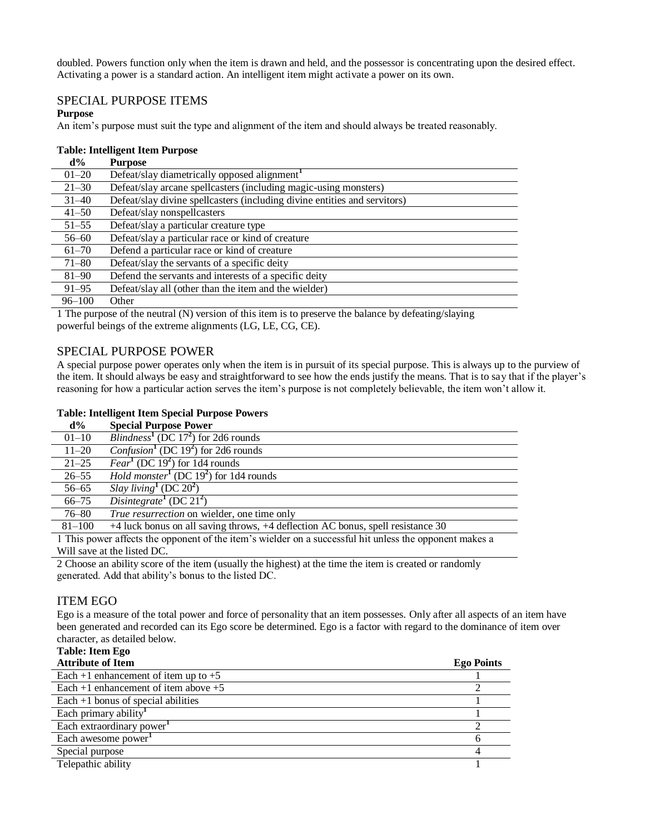doubled. Powers function only when the item is drawn and held, and the possessor is concentrating upon the desired effect. Activating a power is a standard action. An intelligent item might activate a power on its own.

### SPECIAL PURPOSE ITEMS

### **Purpose**

An item's purpose must suit the type and alignment of the item and should always be treated reasonably.

### **Table: Intelligent Item Purpose**

| $d\%$      | <b>Purpose</b>                                                            |
|------------|---------------------------------------------------------------------------|
| $01 - 20$  | Defeat/slay diametrically opposed alignment <sup>1</sup>                  |
| $21 - 30$  | Defeat/slay arcane spellcasters (including magic-using monsters)          |
| $31 - 40$  | Defeat/slay divine spellcasters (including divine entities and servitors) |
| $41 - 50$  | Defeat/slay nonspellcasters                                               |
| $51 - 55$  | Defeat/slay a particular creature type                                    |
| $56 - 60$  | Defeat/slay a particular race or kind of creature                         |
| $61 - 70$  | Defend a particular race or kind of creature                              |
| $71 - 80$  | Defeat/slay the servants of a specific deity                              |
| $81 - 90$  | Defend the servants and interests of a specific deity                     |
| $91 - 95$  | Defeat/slay all (other than the item and the wielder)                     |
| $96 - 100$ | Other                                                                     |

1 The purpose of the neutral (N) version of this item is to preserve the balance by defeating/slaying powerful beings of the extreme alignments (LG, LE, CG, CE).

### SPECIAL PURPOSE POWER

A special purpose power operates only when the item is in pursuit of its special purpose. This is always up to the purview of the item. It should always be easy and straightforward to see how the ends justify the means. That is to say that if the player's reasoning for how a particular action serves the item's purpose is not completely believable, the item won't allow it.

### **Table: Intelligent Item Special Purpose Powers**

| $d\%$      | <b>Special Purpose Power</b>                                                                            |
|------------|---------------------------------------------------------------------------------------------------------|
| $01 - 10$  | <i>Blindness</i> <sup>1</sup> (DC 17 <sup>2</sup> ) for 2d6 rounds                                      |
| $11 - 20$  | <i>Confusion</i> <sup>1</sup> (DC 19 <sup>2</sup> ) for 2d6 rounds                                      |
| $21 - 25$  | <i>Fear</i> <sup>1</sup> (DC 19 <sup>2</sup> ) for 1d4 rounds                                           |
| $26 - 55$  | <i>Hold monster</i> <sup>1</sup> (DC 19 <sup>2</sup> ) for 1d4 rounds                                   |
| $56 - 65$  | Slay living <sup>1</sup> (DC $20^2$ )                                                                   |
| $66 - 75$  | Disintegrate $(DC 21^2)$                                                                                |
| $76 - 80$  | True resurrection on wielder, one time only                                                             |
| $81 - 100$ | +4 luck bonus on all saving throws, +4 deflection AC bonus, spell resistance 30                         |
|            | 1 This power affects the opponent of the item's wielder on a successful hit unless the opponent makes a |
|            | Will save at the listed DC.                                                                             |

2 Choose an ability score of the item (usually the highest) at the time the item is created or randomly generated. Add that ability's bonus to the listed DC.

### ITEM EGO

Ego is a measure of the total power and force of personality that an item possesses. Only after all aspects of an item have been generated and recorded can its Ego score be determined. Ego is a factor with regard to the dominance of item over character, as detailed below.

**Table: Item Ego** 

| <b>Attribute of Item</b>                 | <b>Ego Points</b> |
|------------------------------------------|-------------------|
| Each +1 enhancement of item up to $+5$   |                   |
| Each $+1$ enhancement of item above $+5$ |                   |
| Each $+1$ bonus of special abilities     |                   |
| Each primary ability <sup>1</sup>        |                   |
| Each extraordinary power                 |                   |
| Each awesome power                       |                   |
| Special purpose                          |                   |
| Telepathic ability                       |                   |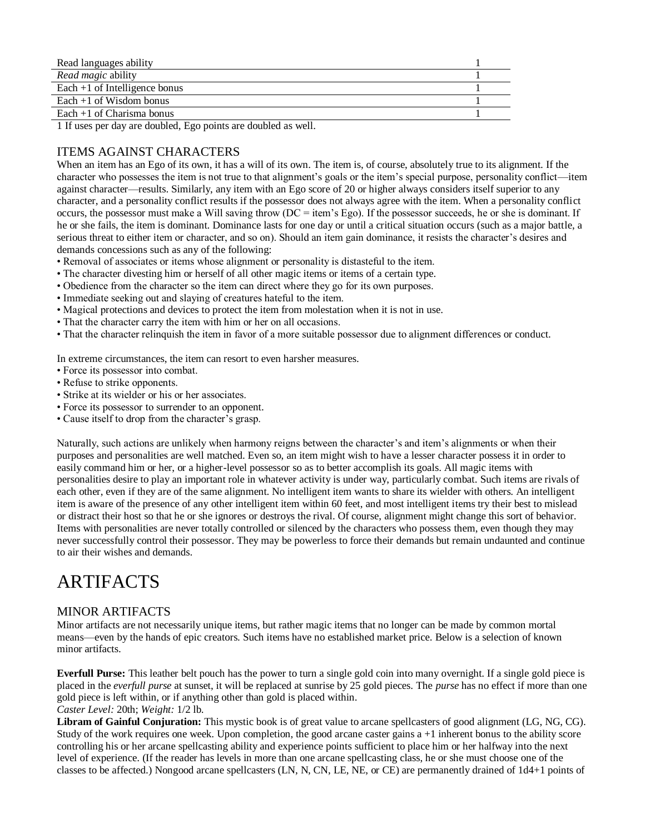| Read languages ability          |  |
|---------------------------------|--|
| Read magic ability              |  |
| Each $+1$ of Intelligence bonus |  |
| Each $+1$ of Wisdom bonus       |  |
| Each $+1$ of Charisma bonus     |  |

1 If uses per day are doubled, Ego points are doubled as well.

# ITEMS AGAINST CHARACTERS

When an item has an Ego of its own, it has a will of its own. The item is, of course, absolutely true to its alignment. If the character who possesses the item is not true to that alignment's goals or the item's special purpose, personality conflict—item against character—results. Similarly, any item with an Ego score of 20 or higher always considers itself superior to any character, and a personality conflict results if the possessor does not always agree with the item. When a personality conflict occurs, the possessor must make a Will saving throw  $(DC = item's Ego)$ . If the possessor succeeds, he or she is dominant. If he or she fails, the item is dominant. Dominance lasts for one day or until a critical situation occurs (such as a major battle, a serious threat to either item or character, and so on). Should an item gain dominance, it resists the character's desires and demands concessions such as any of the following:

- Removal of associates or items whose alignment or personality is distasteful to the item.
- The character divesting him or herself of all other magic items or items of a certain type.
- Obedience from the character so the item can direct where they go for its own purposes.
- Immediate seeking out and slaying of creatures hateful to the item.
- Magical protections and devices to protect the item from molestation when it is not in use.
- That the character carry the item with him or her on all occasions.
- That the character relinquish the item in favor of a more suitable possessor due to alignment differences or conduct.

In extreme circumstances, the item can resort to even harsher measures.

- Force its possessor into combat.
- Refuse to strike opponents.
- Strike at its wielder or his or her associates.
- Force its possessor to surrender to an opponent.
- Cause itself to drop from the character's grasp.

Naturally, such actions are unlikely when harmony reigns between the character's and item's alignments or when their purposes and personalities are well matched. Even so, an item might wish to have a lesser character possess it in order to easily command him or her, or a higher-level possessor so as to better accomplish its goals. All magic items with personalities desire to play an important role in whatever activity is under way, particularly combat. Such items are rivals of each other, even if they are of the same alignment. No intelligent item wants to share its wielder with others. An intelligent item is aware of the presence of any other intelligent item within 60 feet, and most intelligent items try their best to mislead or distract their host so that he or she ignores or destroys the rival. Of course, alignment might change this sort of behavior. Items with personalities are never totally controlled or silenced by the characters who possess them, even though they may never successfully control their possessor. They may be powerless to force their demands but remain undaunted and continue to air their wishes and demands.

# ARTIFACTS

### MINOR ARTIFACTS

Minor artifacts are not necessarily unique items, but rather magic items that no longer can be made by common mortal means—even by the hands of epic creators. Such items have no established market price. Below is a selection of known minor artifacts.

**Everfull Purse:** This leather belt pouch has the power to turn a single gold coin into many overnight. If a single gold piece is placed in the *everfull purse* at sunset, it will be replaced at sunrise by 25 gold pieces. The *purse* has no effect if more than one gold piece is left within, or if anything other than gold is placed within. *Caster Level:* 20th; *Weight:* 1/2 lb.

**Libram of Gainful Conjuration:** This mystic book is of great value to arcane spellcasters of good alignment (LG, NG, CG). Study of the work requires one week. Upon completion, the good arcane caster gains  $a + 1$  inherent bonus to the ability score controlling his or her arcane spellcasting ability and experience points sufficient to place him or her halfway into the next level of experience. (If the reader has levels in more than one arcane spellcasting class, he or she must choose one of the classes to be affected.) Nongood arcane spellcasters (LN, N, CN, LE, NE, or CE) are permanently drained of 1d4+1 points of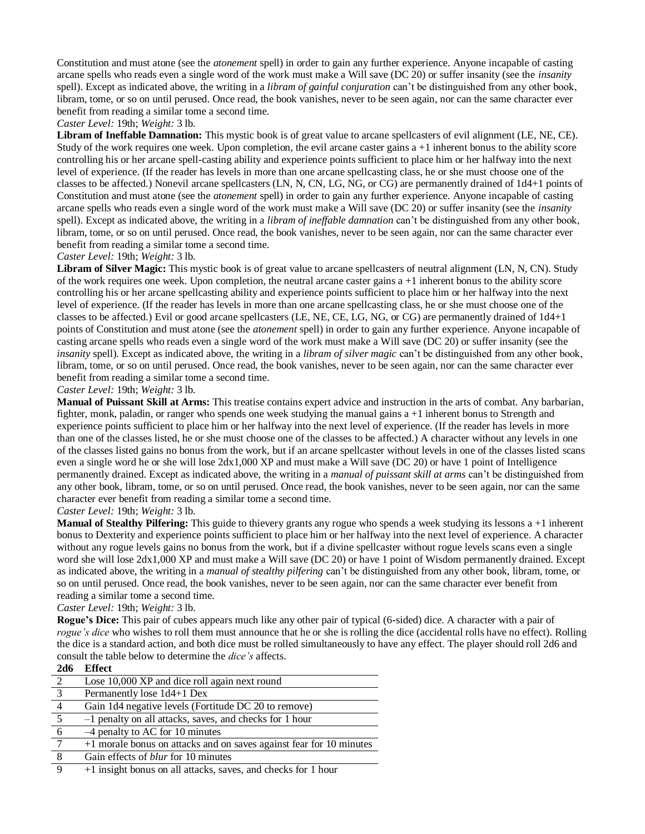Constitution and must atone (see the *atonement* spell) in order to gain any further experience. Anyone incapable of casting arcane spells who reads even a single word of the work must make a Will save (DC 20) or suffer insanity (see the *insanity*  spell). Except as indicated above, the writing in a *libram of gainful conjuration* can't be distinguished from any other book, libram, tome, or so on until perused. Once read, the book vanishes, never to be seen again, nor can the same character ever benefit from reading a similar tome a second time.

### *Caster Level:* 19th; *Weight:* 3 lb.

**Libram of Ineffable Damnation:** This mystic book is of great value to arcane spellcasters of evil alignment (LE, NE, CE). Study of the work requires one week. Upon completion, the evil arcane caster gains  $a + 1$  inherent bonus to the ability score controlling his or her arcane spell-casting ability and experience points sufficient to place him or her halfway into the next level of experience. (If the reader has levels in more than one arcane spellcasting class, he or she must choose one of the classes to be affected.) Nonevil arcane spellcasters (LN, N, CN, LG, NG, or CG) are permanently drained of 1d4+1 points of Constitution and must atone (see the *atonement* spell) in order to gain any further experience. Anyone incapable of casting arcane spells who reads even a single word of the work must make a Will save (DC 20) or suffer insanity (see the *insanity*  spell). Except as indicated above, the writing in a *libram of ineffable damnation* can't be distinguished from any other book, libram, tome, or so on until perused. Once read, the book vanishes, never to be seen again, nor can the same character ever benefit from reading a similar tome a second time.

### *Caster Level:* 19th; *Weight:* 3 lb.

**Libram of Silver Magic:** This mystic book is of great value to arcane spellcasters of neutral alignment (LN, N, CN). Study of the work requires one week. Upon completion, the neutral arcane caster gains a +1 inherent bonus to the ability score controlling his or her arcane spellcasting ability and experience points sufficient to place him or her halfway into the next level of experience. (If the reader has levels in more than one arcane spellcasting class, he or she must choose one of the classes to be affected.) Evil or good arcane spellcasters (LE, NE, CE, LG, NG, or CG) are permanently drained of 1d4+1 points of Constitution and must atone (see the *atonement* spell) in order to gain any further experience. Anyone incapable of casting arcane spells who reads even a single word of the work must make a Will save (DC 20) or suffer insanity (see the *insanity* spell). Except as indicated above, the writing in a *libram of silver magic* can't be distinguished from any other book, libram, tome, or so on until perused. Once read, the book vanishes, never to be seen again, nor can the same character ever benefit from reading a similar tome a second time.

*Caster Level:* 19th; *Weight:* 3 lb.

**Manual of Puissant Skill at Arms:** This treatise contains expert advice and instruction in the arts of combat. Any barbarian, fighter, monk, paladin, or ranger who spends one week studying the manual gains a +1 inherent bonus to Strength and experience points sufficient to place him or her halfway into the next level of experience. (If the reader has levels in more than one of the classes listed, he or she must choose one of the classes to be affected.) A character without any levels in one of the classes listed gains no bonus from the work, but if an arcane spellcaster without levels in one of the classes listed scans even a single word he or she will lose 2dx1,000 XP and must make a Will save (DC 20) or have 1 point of Intelligence permanently drained. Except as indicated above, the writing in a *manual of puissant skill at arms* can't be distinguished from any other book, libram, tome, or so on until perused. Once read, the book vanishes, never to be seen again, nor can the same character ever benefit from reading a similar tome a second time.

### *Caster Level:* 19th; *Weight:* 3 lb.

**Manual of Stealthy Pilfering:** This guide to thievery grants any rogue who spends a week studying its lessons a +1 inherent bonus to Dexterity and experience points sufficient to place him or her halfway into the next level of experience. A character without any rogue levels gains no bonus from the work, but if a divine spellcaster without rogue levels scans even a single word she will lose 2dx1,000 XP and must make a Will save (DC 20) or have 1 point of Wisdom permanently drained. Except as indicated above, the writing in a *manual of stealthy pilfering* can't be distinguished from any other book, libram, tome, or so on until perused. Once read, the book vanishes, never to be seen again, nor can the same character ever benefit from reading a similar tome a second time.

### *Caster Level:* 19th; *Weight:* 3 lb.

**Rogue's Dice:** This pair of cubes appears much like any other pair of typical (6-sided) dice. A character with a pair of *rogue's dice* who wishes to roll them must announce that he or she is rolling the dice (accidental rolls have no effect). Rolling the dice is a standard action, and both dice must be rolled simultaneously to have any effect. The player should roll 2d6 and consult the table below to determine the *dice's* affects.  $2d \leq 1$ **Effect** 

| zao            | <b>Lifect</b>                                                       |
|----------------|---------------------------------------------------------------------|
| 2              | Lose 10,000 XP and dice roll again next round                       |
| $\overline{3}$ | Permanently lose 1d4+1 Dex                                          |
| $\overline{4}$ | Gain 1d4 negative levels (Fortitude DC 20 to remove)                |
|                | -1 penalty on all attacks, saves, and checks for 1 hour             |
| 6              | $-4$ penalty to AC for 10 minutes                                   |
|                | +1 morale bonus on attacks and on saves against fear for 10 minutes |
| 8              | Gain effects of <i>blur</i> for 10 minutes                          |
|                | +1 insight bonus on all attacks, saves, and checks for 1 hour       |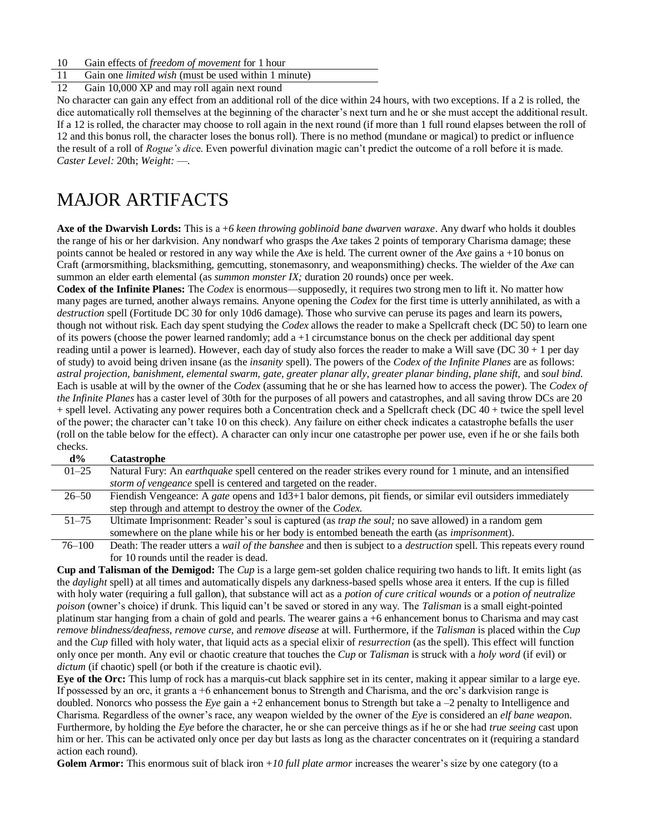10 Gain effects of *freedom of movement* for 1 hour

11 Gain one *limited wish* (must be used within 1 minute)

12 Gain 10,000 XP and may roll again next round

No character can gain any effect from an additional roll of the dice within 24 hours, with two exceptions. If a 2 is rolled, the dice automatically roll themselves at the beginning of the character's next turn and he or she must accept the additional result. If a 12 is rolled, the character may choose to roll again in the next round (if more than 1 full round elapses between the roll of 12 and this bonus roll, the character loses the bonus roll). There is no method (mundane or magical) to predict or influence the result of a roll of *Rogue's dic*e. Even powerful divination magic can't predict the outcome of a roll before it is made. *Caster Level:* 20th; *Weight:* —.

# MAJOR ARTIFACTS

**Axe of the Dwarvish Lords:** This is a +*6 keen throwing goblinoid bane dwarven waraxe*. Any dwarf who holds it doubles the range of his or her darkvision. Any nondwarf who grasps the *Axe* takes 2 points of temporary Charisma damage; these points cannot be healed or restored in any way while the *Axe* is held. The current owner of the *Axe* gains a +10 bonus on Craft (armorsmithing, blacksmithing, gemcutting, stonemasonry, and weaponsmithing) checks. The wielder of the *Axe* can summon an elder earth elemental (as *summon monster IX*; duration 20 rounds) once per week.

**Codex of the Infinite Planes:** The *Codex* is enormous—supposedly, it requires two strong men to lift it. No matter how many pages are turned, another always remains. Anyone opening the *Codex* for the first time is utterly annihilated, as with a *destruction* spell (Fortitude DC 30 for only 10d6 damage). Those who survive can peruse its pages and learn its powers, though not without risk. Each day spent studying the *Codex* allows the reader to make a Spellcraft check (DC 50) to learn one of its powers (choose the power learned randomly; add  $a + 1$  circumstance bonus on the check per additional day spent reading until a power is learned). However, each day of study also forces the reader to make a Will save (DC  $30 + 1$  per day of study) to avoid being driven insane (as the *insanity* spell). The powers of the *Codex of the Infinite Planes* are as follows: astral projection, banishment, elemental swarm, gate, greater planar ally, greater planar binding, plane shift, and soul bind. Each is usable at will by the owner of the *Codex* (assuming that he or she has learned how to access the power). The *Codex of the Infinite Planes* has a caster level of 30th for the purposes of all powers and catastrophes, and all saving throw DCs are 20 + spell level. Activating any power requires both a Concentration check and a Spellcraft check (DC 40 + twice the spell level of the power; the character can't take 10 on this check). Any failure on either check indicates a catastrophe befalls the user (roll on the table below for the effect). A character can only incur one catastrophe per power use, even if he or she fails both checks.

| $d\%$      | <b>Catastrophe</b>                                                                                                                |
|------------|-----------------------------------------------------------------------------------------------------------------------------------|
| $01 - 25$  | Natural Fury: An <i>earthquake</i> spell centered on the reader strikes every round for 1 minute, and an intensified              |
|            | storm of vengeance spell is centered and targeted on the reader.                                                                  |
| $26 - 50$  | Fiendish Vengeance: A gate opens and 1d3+1 balor demons, pit fiends, or similar evil outsiders immediately                        |
|            | step through and attempt to destroy the owner of the Codex.                                                                       |
| $51 - 75$  | Ultimate Imprisonment: Reader's soul is captured (as <i>trap the soul</i> ; no save allowed) in a random gem                      |
|            | somewhere on the plane while his or her body is entombed beneath the earth (as <i>imprisonment</i> ).                             |
| $76 - 100$ | Death: The reader utters a <i>wail of the banshee</i> and then is subject to a <i>destruction</i> spell. This repeats every round |
|            | for 10 rounds until the reader is dead.                                                                                           |

**Cup and Talisman of the Demigod:** The *Cup* is a large gem-set golden chalice requiring two hands to lift. It emits light (as the *daylight* spell) at all times and automatically dispels any darkness-based spells whose area it enters. If the cup is filled with holy water (requiring a full gallon), that substance will act as a *potion of cure critical wounds* or a *potion of neutralize poison* (owner's choice) if drunk. This liquid can't be saved or stored in any way. The *Talisman* is a small eight-pointed platinum star hanging from a chain of gold and pearls. The wearer gains a +6 enhancement bonus to Charisma and may cast *remove blindness/deafness, remove curse,* and *remove disease* at will. Furthermore, if the *Talisman* is placed within the *Cup*  and the *Cup* filled with holy water, that liquid acts as a special elixir of *resurrection* (as the spell). This effect will function only once per month. Any evil or chaotic creature that touches the *Cup* or *Talisman* is struck with a *holy word* (if evil) or *dictum* (if chaotic) spell (or both if the creature is chaotic evil).

**Eye of the Orc:** This lump of rock has a marquis-cut black sapphire set in its center, making it appear similar to a large eye. If possessed by an orc, it grants a +6 enhancement bonus to Strength and Charisma, and the orc's darkvision range is doubled. Nonorcs who possess the *Eye* gain a +2 enhancement bonus to Strength but take a –2 penalty to Intelligence and Charisma. Regardless of the owner's race, any weapon wielded by the owner of the *Eye* is considered an *elf bane weapo*n. Furthermore, by holding the *Eye* before the character, he or she can perceive things as if he or she had *true seeing* cast upon him or her. This can be activated only once per day but lasts as long as the character concentrates on it (requiring a standard action each round).

**Golem Armor:** This enormous suit of black iron +*10 full plate armor* increases the wearer's size by one category (to a